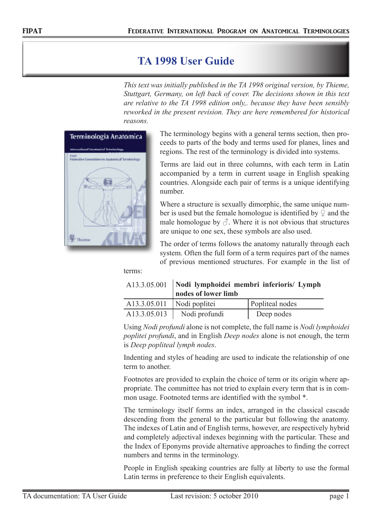## **TA 1998 User Guide**

*This text was initially published in the TA 1998 original version, by Thieme, Stuttgart, Germany, on left back of cover. The decisions shown in this text are relative to the TA 1998 edition only,. because they have been sensibly reworked in the present revision. They are here remembered for historical reasons.*



The terminology begins with a general terms section, then proceeds to parts of the body and terms used for planes, lines and regions. The rest of the terminology is divided into systems.

Terms are laid out in three columns, with each term in Latin accompanied by a term in current usage in English speaking countries. Alongside each pair of terms is a unique identifying number.

Where a structure is sexually dimorphic, the same unique number is used but the female homologue is identified by  $\mathcal Q$  and the male homologue by  $\beta$ . Where it is not obvious that structures are unique to one sex, these symbols are also used.

The order of terms follows the anatomy naturally through each system. Often the full form of a term requires part of the names of previous mentioned structures. For example in the list of

terms:

|                              | A13.3.05.001   Nodi lymphoidei membri inferioris/ Lymph<br>nodes of lower limb |                 |
|------------------------------|--------------------------------------------------------------------------------|-----------------|
| $A13.3.05.011$ Nodi poplitei |                                                                                | Popliteal nodes |
| A13.3.05.013                 | Nodi profundi                                                                  | Deep nodes      |

Using *Nodi profundi* alone is not complete, the full name is *Nodi lymphoidei poplitei profundi*, and in English *Deep nodes* alone is not enough, the term is *Deep popliteal lymph nodes*.

Indenting and styles of heading are used to indicate the relationship of one term to another.

Footnotes are provided to explain the choice of term or its origin where appropriate. The committee has not tried to explain every term that is in common usage. Footnoted terms are identified with the symbol \*.

The terminology itself forms an index, arranged in the classical cascade descending from the general to the particular but following the anatomy. The indexes of Latin and of English terms, however, are respectively hybrid and completely adjectival indexes beginning with the particular. These and the Index of Eponyms provide alternative approaches to finding the correct numbers and terms in the terminology.

People in English speaking countries are fully at liberty to use the formal Latin terms in preference to their English equivalents.